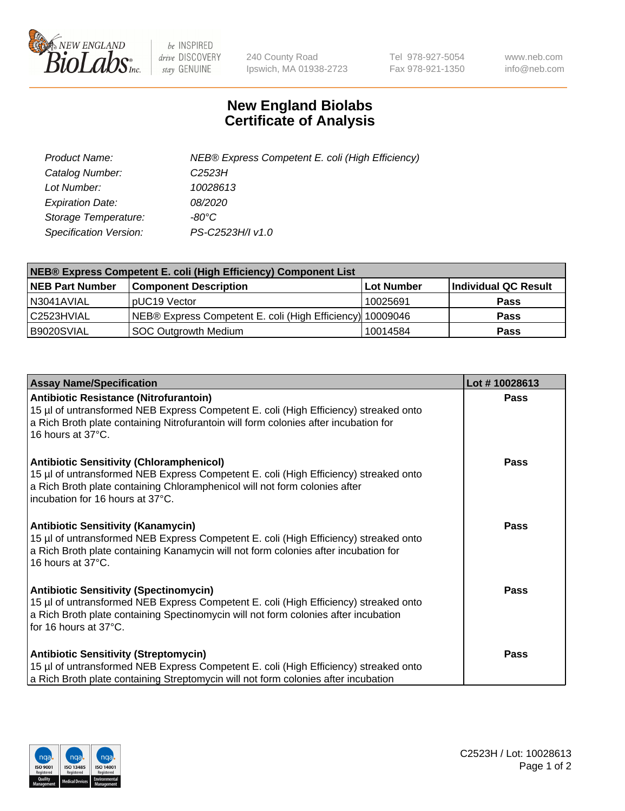

 $be$  INSPIRED drive DISCOVERY stay GENUINE

240 County Road Ipswich, MA 01938-2723 Tel 978-927-5054 Fax 978-921-1350 www.neb.com info@neb.com

## **New England Biolabs Certificate of Analysis**

| Product Name:                 | NEB® Express Competent E. coli (High Efficiency) |
|-------------------------------|--------------------------------------------------|
| Catalog Number:               | C <sub>2523</sub> H                              |
| Lot Number:                   | 10028613                                         |
| <b>Expiration Date:</b>       | <i>08/2020</i>                                   |
| Storage Temperature:          | -80°C                                            |
| <b>Specification Version:</b> | PS-C2523H/I v1.0                                 |

| NEB® Express Competent E. coli (High Efficiency) Component List |                                                           |            |                      |  |
|-----------------------------------------------------------------|-----------------------------------------------------------|------------|----------------------|--|
| <b>NEB Part Number</b>                                          | <b>Component Description</b>                              | Lot Number | Individual QC Result |  |
| N3041AVIAL                                                      | pUC19 Vector                                              | 10025691   | <b>Pass</b>          |  |
| l C2523HVIAL                                                    | NEB® Express Competent E. coli (High Efficiency) 10009046 |            | <b>Pass</b>          |  |
| B9020SVIAL                                                      | <b>SOC Outgrowth Medium</b>                               | 10014584   | <b>Pass</b>          |  |

| <b>Assay Name/Specification</b>                                                                                                                                                                                                                           | Lot #10028613 |
|-----------------------------------------------------------------------------------------------------------------------------------------------------------------------------------------------------------------------------------------------------------|---------------|
| Antibiotic Resistance (Nitrofurantoin)<br>15 µl of untransformed NEB Express Competent E. coli (High Efficiency) streaked onto<br>a Rich Broth plate containing Nitrofurantoin will form colonies after incubation for<br>16 hours at 37°C.               | <b>Pass</b>   |
| <b>Antibiotic Sensitivity (Chloramphenicol)</b><br>15 µl of untransformed NEB Express Competent E. coli (High Efficiency) streaked onto<br>a Rich Broth plate containing Chloramphenicol will not form colonies after<br>incubation for 16 hours at 37°C. | Pass          |
| Antibiotic Sensitivity (Kanamycin)<br>15 µl of untransformed NEB Express Competent E. coli (High Efficiency) streaked onto<br>a Rich Broth plate containing Kanamycin will not form colonies after incubation for<br>16 hours at 37°C.                    | Pass          |
| <b>Antibiotic Sensitivity (Spectinomycin)</b><br>15 µl of untransformed NEB Express Competent E. coli (High Efficiency) streaked onto<br>a Rich Broth plate containing Spectinomycin will not form colonies after incubation<br>for 16 hours at 37°C.     | <b>Pass</b>   |
| <b>Antibiotic Sensitivity (Streptomycin)</b><br>15 µl of untransformed NEB Express Competent E. coli (High Efficiency) streaked onto<br>a Rich Broth plate containing Streptomycin will not form colonies after incubation                                | Pass          |